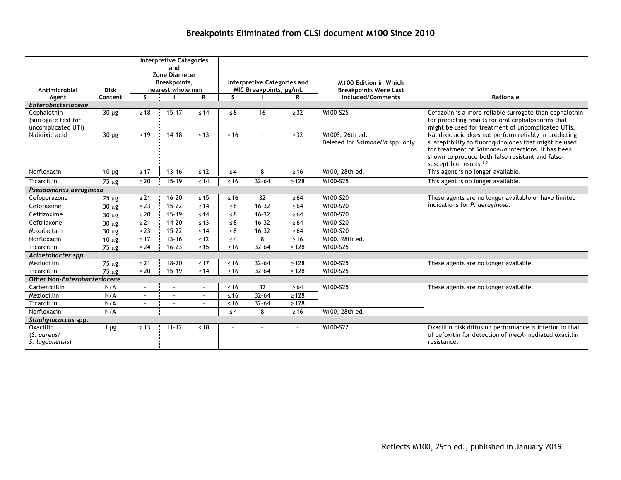# **Breakpoints Eliminated from CLSI document M100 Since 2010**

| Antimicrobial                                                                                                                                                                                | <b>Disk</b>        | <b>Interpretive Categories</b><br>and<br><b>Zone Diameter</b><br>Breakpoints,<br>nearest whole mm |           |           | Interpretive Categories and<br>MIC Breakpoints, µg/mL |                 |            | M100 Edition in Which<br><b>Breakpoints Were Last</b> |                                                                                                                                                                                                                                                          |  |  |  |  |
|----------------------------------------------------------------------------------------------------------------------------------------------------------------------------------------------|--------------------|---------------------------------------------------------------------------------------------------|-----------|-----------|-------------------------------------------------------|-----------------|------------|-------------------------------------------------------|----------------------------------------------------------------------------------------------------------------------------------------------------------------------------------------------------------------------------------------------------------|--|--|--|--|
| Agent                                                                                                                                                                                        | Content            | S.                                                                                                |           | R         | $\mathsf{S}$                                          |                 | R          | Included/Comments                                     | Rationale                                                                                                                                                                                                                                                |  |  |  |  |
| Enterobacteriaceae<br>$30 \mu g$<br>$\geq 18$<br>$15 - 17$<br>$\geq$ 32<br>M100-S25<br>Cefazolin is a more reliable surrogate than cephalothin<br>$\leq 14$<br>$\leq 8$<br>16<br>Cephalothin |                    |                                                                                                   |           |           |                                                       |                 |            |                                                       |                                                                                                                                                                                                                                                          |  |  |  |  |
| (surrogate test for<br>uncomplicated UTI)                                                                                                                                                    |                    |                                                                                                   |           |           |                                                       |                 |            |                                                       | for predicting results for oral cephalosporins that<br>might be used for treatment of uncomplicated UTIs.                                                                                                                                                |  |  |  |  |
| Nalidixic acid                                                                                                                                                                               | $\overline{30}$ µg | $\geq 19$                                                                                         | $14 - 18$ | $\leq 13$ | $\leq 16$                                             | $\sim$          | $\geq$ 32  | M100S, 26th ed.<br>Deleted for Salmonella spp. only   | Nalidixic acid does not perform reliably in predicting<br>susceptibility to fluoroquinolones that might be used<br>for treatment of Salmonella infections. It has been<br>shown to produce both false-resistant and false-<br>susceptible results. $1,2$ |  |  |  |  |
| Norfloxacin                                                                                                                                                                                  | $10 \mu$ g         | $\geq 17$                                                                                         | $13 - 16$ | $\leq 12$ | $\leq 4$                                              | 8               | $\geq 16$  | M100, 28th ed.                                        | This agent is no longer available.                                                                                                                                                                                                                       |  |  |  |  |
| Ticarcillin                                                                                                                                                                                  | $75 \mu g$         | $\geq 20$                                                                                         | $15 - 19$ | $\leq 14$ | $≤ 16$                                                | $32 - 64$       | $\geq 128$ | M100-S25                                              | This agent is no longer available.                                                                                                                                                                                                                       |  |  |  |  |
| Pseudomonas aeruginosa                                                                                                                                                                       |                    |                                                                                                   |           |           |                                                       |                 |            |                                                       |                                                                                                                                                                                                                                                          |  |  |  |  |
| Cefoperazone                                                                                                                                                                                 | 75 µg              | $\geq$ 21                                                                                         | $16 - 20$ | $\leq 15$ | $\leq 16$                                             | 32              | $\geq 64$  | M100-S20                                              | These agents are no longer available or have limited<br>indications for P. aeruginosa.                                                                                                                                                                   |  |  |  |  |
| Cefotaxime                                                                                                                                                                                   | $30 \mu g$         | $\geq$ 23                                                                                         | $15 - 22$ | $\leq 14$ | $\leq 8$                                              | $16 - 32$       | $\geq 64$  | M100-S20                                              |                                                                                                                                                                                                                                                          |  |  |  |  |
| Ceftizoxime                                                                                                                                                                                  | $30 \mu g$         | $\geq 20$                                                                                         | $15 - 19$ | $\leq 14$ | $\leq 8$                                              | $16 - 32$       | $\geq 64$  | M100-S20                                              |                                                                                                                                                                                                                                                          |  |  |  |  |
| Ceftriaxone                                                                                                                                                                                  | $30 \mu g$         | $\geq 21$                                                                                         | $14 - 20$ | $\leq 13$ | $\leq 8$                                              | $16 - 32$       | $\geq 64$  | M100-S20                                              |                                                                                                                                                                                                                                                          |  |  |  |  |
| Moxalactam                                                                                                                                                                                   | $30 \mu g$         | $\geq$ 23                                                                                         | $15 - 22$ | $\leq 14$ | $\leq 8$                                              | $16 - 32$       | $\geq 64$  | M100-S20                                              |                                                                                                                                                                                                                                                          |  |  |  |  |
| Norfloxacin                                                                                                                                                                                  | $10 \mu g$         | $\geq 17$                                                                                         | $13 - 16$ | $\leq 12$ | $\leq 4$                                              | 8               | $\geq 16$  | M100, 28th ed.                                        |                                                                                                                                                                                                                                                          |  |  |  |  |
| Ticarcillin                                                                                                                                                                                  | $75 \mu g$         | $\geq$ 24                                                                                         | $16 - 23$ | $\leq 15$ | $\leq 16$                                             | $32 - 64$       | $\geq 128$ | M100-S25                                              |                                                                                                                                                                                                                                                          |  |  |  |  |
| Acinetobacter spp.                                                                                                                                                                           |                    |                                                                                                   |           |           |                                                       |                 |            |                                                       |                                                                                                                                                                                                                                                          |  |  |  |  |
| Mezlocillin                                                                                                                                                                                  | $75 \mu g$         | $\geq$ 21                                                                                         | $18 - 20$ | $\leq 17$ | $≤ 16$                                                | $32 - 64$       | $\geq 128$ | M100-S25                                              | These agents are no longer available.                                                                                                                                                                                                                    |  |  |  |  |
| Ticarcillin                                                                                                                                                                                  | 75 µg              | $\geq 20$                                                                                         | $15 - 19$ | $\leq 14$ | $\leq 16$                                             | $32 - 64$       | $\geq 128$ | M100-S25                                              |                                                                                                                                                                                                                                                          |  |  |  |  |
| Other Non-Enterobacteriaceae                                                                                                                                                                 |                    |                                                                                                   |           |           |                                                       |                 |            |                                                       |                                                                                                                                                                                                                                                          |  |  |  |  |
| Carbenicillin                                                                                                                                                                                | N/A                |                                                                                                   |           |           | $\leq 16$                                             | $\overline{32}$ | $\geq 64$  | M100-S25                                              | These agents are no longer available.                                                                                                                                                                                                                    |  |  |  |  |
| Mezlocillin                                                                                                                                                                                  | N/A                |                                                                                                   |           |           | $≤ 16$                                                | $32 - 64$       | $\geq 128$ |                                                       |                                                                                                                                                                                                                                                          |  |  |  |  |
| Ticarcillin                                                                                                                                                                                  | N/A                | $\sim$                                                                                            |           |           | $\leq 16$                                             | $32 - 64$       | $\geq 128$ |                                                       |                                                                                                                                                                                                                                                          |  |  |  |  |
| Norfloxacin                                                                                                                                                                                  | N/A                |                                                                                                   |           |           | $\leq 4$                                              | 8               | $\geq 16$  | M100, 28th ed.                                        |                                                                                                                                                                                                                                                          |  |  |  |  |
| Staphylococcus spp.                                                                                                                                                                          |                    |                                                                                                   |           |           |                                                       |                 |            |                                                       |                                                                                                                                                                                                                                                          |  |  |  |  |
| Oxacillin<br>(S. aureus/<br>S. lugdunensis)                                                                                                                                                  | 1 $\mu$ g          | $\geq 13$                                                                                         | $11 - 12$ | $\leq 10$ |                                                       |                 |            | M100-S22                                              | Oxacillin disk diffusion performance is inferior to that<br>of cefoxitin for detection of mecA-mediated oxacillin<br>resistance.                                                                                                                         |  |  |  |  |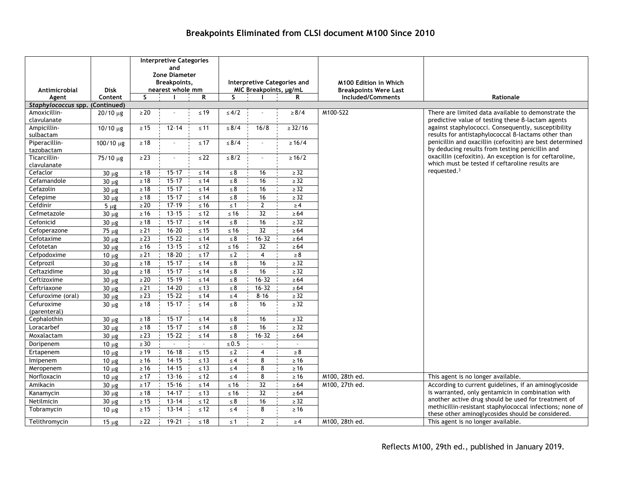#### **Antimicrobial Agent Disk Content Interpretive Categories and Zone Diameter Breakpoints, nearest whole mm Interpretive Categories and MIC Breakpoints, µg/mL M100 Edition in Which Breakpoints Were Last S I R S I R Included/Comments Rationale** *Staphylococcus* **spp. (Continued)** Amoxicillinclavulanate 20/10 µg ≥ 20 – ≤ 19 ≤ 4/2 – ≥ 8/4 M100-S22 There are limited data available to demonstrate the predictive value of testing these β-lactam agents against staphylococci. Consequently, susceptibility results for antistaphylococcal β-lactams other than penicillin and oxacillin (cefoxitin) are best determined by deducing results from testing penicillin and oxacillin (cefoxitin). An exception is for ceftaroline, which must be tested if ceftaroline results are requested.3 Ampicillinsulbactam 10/10 μg  $\ge$  15 12-14 ≤ 11 ≤ 8/4 16/8 ≥ 32/16 Piperacillintazobactam  $100/10 \mu g$  ≥ 18 – ≤ 17 ≤ 8/4 – ≥ 16/4 Ticarcillinclavulanate  $75/10 \text{ µg}$   $\geq 23$   $\leq 22$   $\leq 8/2$   $\geq 16/2$ Cefaclor 30 µg ≥ 18 15–17 ≤ 14 ≤ 8 16 ≥ 32 Cefamandole  $\begin{array}{|c|c|c|c|c|c|c|c|c|}\n\hline\n30 \mu \mathbf{g} & \geq 18 & 15-17 & \leq 14 & \leq 8 & 16 & \geq 32\n\end{array}$ Cefazolin 30 µg ≥ 18 15–17 ≤ 14 ≤ 8 16 ≥ 32 Cefepime | 30 µg | ≥18 1 15−17 ≤ 14 | ≤ 8 ¦ 16 ¦ ≥32 Cefdinir 5 µg ≥ 20 17–19 ≤ 16 ≤ 1 2 ≥ 4 Cefmetazole 30 µg ≥ 16 13–15 ≤ 12 ≤ 16 32 ≥ 64 Cefonicid 30 µg ≥ 18 15–17 ≤ 14 ≤ 8 16 ≥ 32 Cefoperazone 75 µg  $\geq 21$  16–20 ≤ 15 ≤ 16 32 ≥ 64 Cefotaxime 30 µg ≥ 23 15–22 ≤ 14 ≤ 8 16–32 ≥ 64 Cefotetan 30 µg ≥ 16 13–15 ≤ 12 ≤ 16 32 ≥ 64 Cefpodoxime  $\begin{array}{|c|c|c|c|c|c|c|c|}\n\hline\n10 \text{ µg} & \geq 21 & 18-20 & \leq 17 & \leq 2 & \text{4} & \geq 8\n\end{array}$ Cefprozil 30 µg ≥ 18 15–17 ≤ 14 ≤ 8 16 ≥ 32 Ceftazidime 30 µg ≥ 18 15–17 ≤ 14 ≤ 8 16 ≥ 32 Ceftizoxime 30 µg  $\geq 20$  15–19 ≤ 14 ≤ 8 16–32 ≥ 64 Ceftriaxone 30 µg ≥ 21 14–20 ≤ 13 ≤ 8 16–32 ≥ 64 Cefuroxime (oral) 30 µg  $\vert$   $\geq$  23 15–22  $\leq$  14  $\vert$   $\leq$  4  $\vert$  8–16  $\vert$   $\geq$  32 Cefuroxime (parenteral) 30 µg ≥ 18 15–17 ≤ 14 ≤ 8 16 ≥ 32 Cephalothin  $\begin{array}{|c|c|c|c|c|c|c|c|}\n\hline\n\text{Cephalothin} & 30 \text{ µg} & \text{≥}18 & 15-17 & \text{≤}14 & \text{≤}8 & 16 & \text{≥}32\n\hline\n\end{array}$ Loracarbef 30 µg ≥ 18 15–17 ≤ 14 ≤ 8 16 ≥ 32 Moxalactam 30 µg ≥ 23 15–22 ≤ 14 ≤ 8 16–32 ≥ 64 Doripenem 10 µg ≥ 30 – – ≤ 0.5 – – Ertapenem 10 µg ≥ 19 16–18 ≤ 15 ≤ 2 4 ≥ 8 Imipenem | 10 µg | ≥16 ¦ 14-15 ≤ 13 | ≤ 4 ¦ 8 ¦ ≥16 Meropenem 10 µg  $\geq 16$  14–15 ≤ 13 ≤ 4 8 ≥ 216 Norfloxacin 10 µg  $\geq 17$  13–16  $\leq 12$   $\leq 4$  8  $\geq 16$  M100, 28th ed. This agent is no longer available. Amikacin 30 µg  $\geq 17$  15-16 ≤ 14 ≤ 16 32 ≥ 64 M100, 27th ed. According to current guidelines, if an aminoglycoside is warranted, only gentamicin in combination with another active drug should be used for treatment of methicillin-resistant staphylococcal infections; none of these other aminoglycosides should be considered. Kanamycin | 30 μg | ≥18 ¦ 14-17 ¦ ≤ 13 | ≤16 ¦ 32 ¦ ≥64 Netilmicin | 30 µg | ≥15 13-14 ≤12 | ≤8 16 · ≥32 Tobramycin 10 µg  $\ge 15$  13-14  $\le 12$   $\le 4$  8  $\ge 16$ Telithromycin 15 µg  $\geq 22$  19-21 ≤ 18 ≤ 1 2 ≥ 4 M100, 28th ed. This agent is no longer available.

## **Breakpoints Eliminated from CLSI document M100 Since 2010**